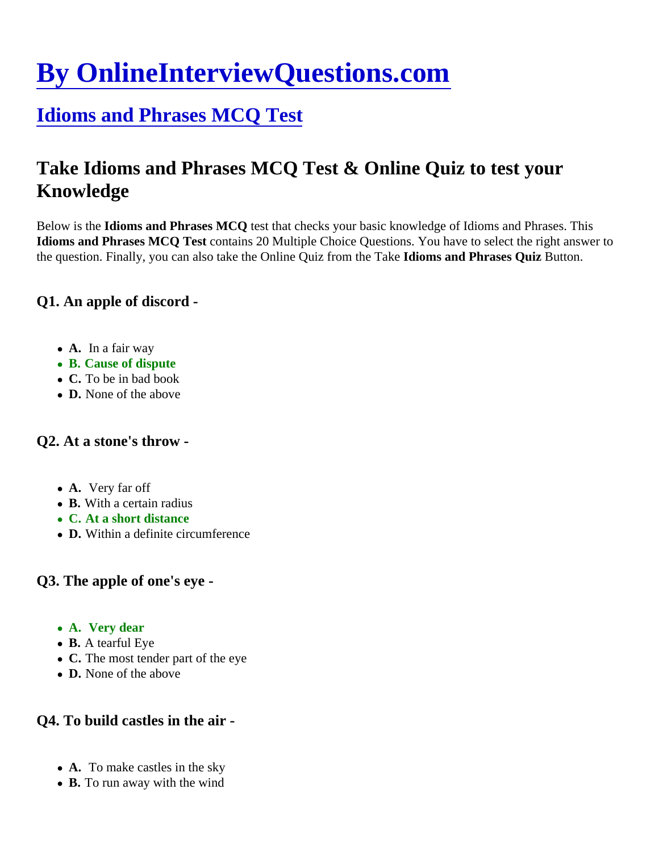# [By OnlineInterviewQuestions.com](https://www.onlineinterviewquestions.com/)

# [Idioms and Phrases MCQ Tes](https://www.onlineinterviewquestions.com/idioms-and-phrases-mcq/)t

# Take Idioms and Phrases MCQ Test & Online Quiz to test your Knowledge

Below is the dioms and Phrases MCQ test that checks your basic knowledge of Idioms and Phrases. This Idioms and Phrases MCQ Test contains 20 Multiple Choice Questions. You have to select the right answer to the question. Finally, you can also take the Online Quiz from the laid area and Phrases QuizButton.

Q1. An apple of discord -

- A. In a fair way
- B. Cause of dispute
- C. To be in bad book
- D. None of the above

# Q2. At a stone's throw -

- A. Very far off
- B. With a certain radius
- C. At a short distance
- D. Within a definite circumference

Q3. The apple of one's eye -

- A. Very dear
- B. A tearful Eye
- C. The most tender part of the eye
- D. None of the above

Q4. To build castles in the air -

- A. To make castles in the sky
- B. To run away with the wind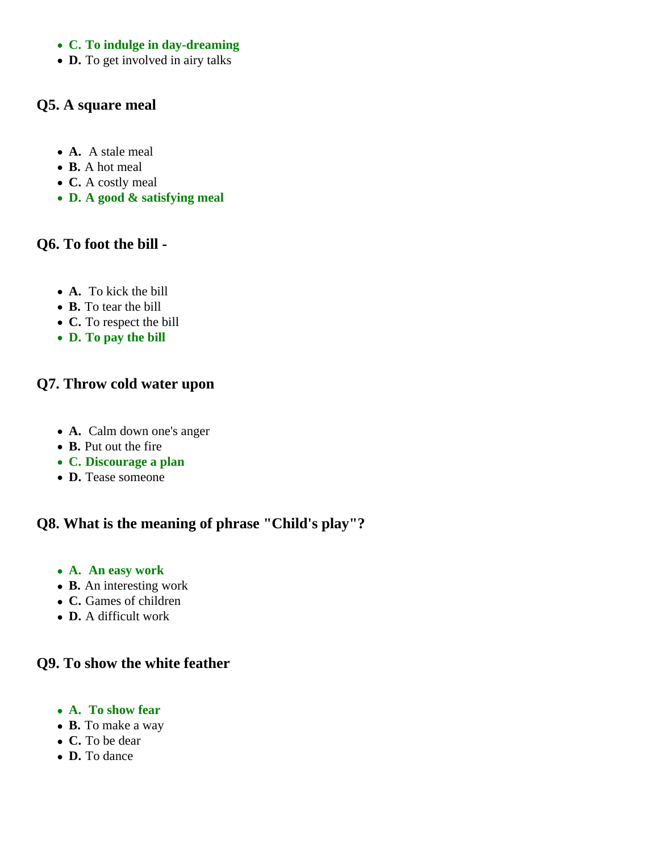#### **C. To indulge in day-dreaming**

• **D.** To get involved in airy talks

# **Q5. A square meal**

- **A.** A stale meal
- **B.** A hot meal
- **C.** A costly meal
- **D. A good & satisfying meal**

# **Q6. To foot the bill -**

- **A.** To kick the bill
- **B.** To tear the bill
- **C.** To respect the bill
- **D. To pay the bill**

# **Q7. Throw cold water upon**

- **A.** Calm down one's anger
- **B.** Put out the fire
- **C. Discourage a plan**
- **D.** Tease someone

# **Q8. What is the meaning of phrase "Child's play"?**

- **A. An easy work**
- **B.** An interesting work
- **C.** Games of children
- **D.** A difficult work

#### **Q9. To show the white feather**

- **A. To show fear**
- **B.** To make a way
- **C.** To be dear
- **D.** To dance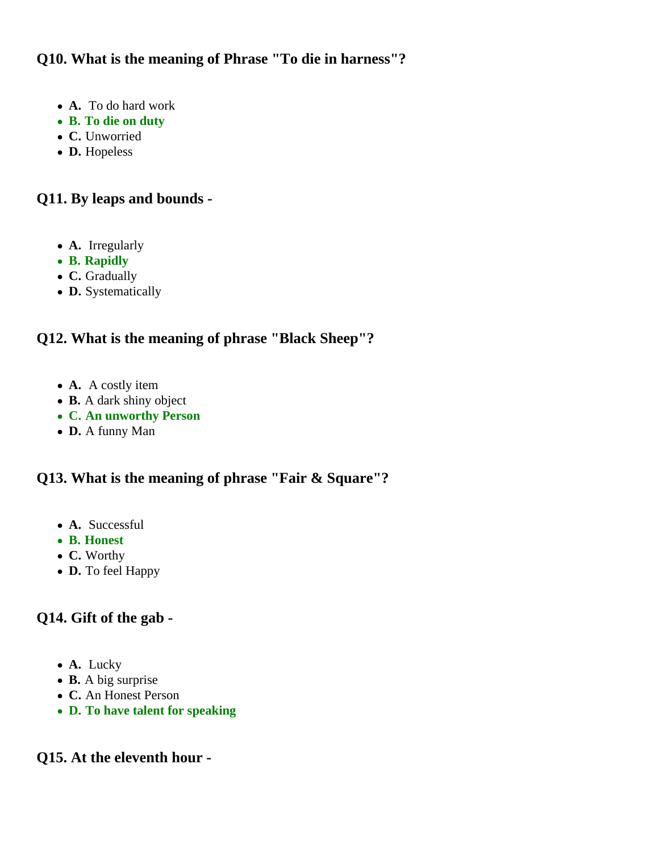# **Q10. What is the meaning of Phrase "To die in harness"?**

- **A.** To do hard work
- **B. To die on duty**
- **C.** Unworried
- **D.** Hopeless

# **Q11. By leaps and bounds -**

- **A.** Irregularly
- **B. Rapidly**
- **C.** Gradually
- **D.** Systematically

# **Q12. What is the meaning of phrase "Black Sheep"?**

- **A.** A costly item
- **B.** A dark shiny object
- **C. An unworthy Person**
- **D.** A funny Man

# **Q13. What is the meaning of phrase "Fair & Square"?**

- **A.** Successful
- **B. Honest**
- **C.** Worthy
- **D.** To feel Happy

# **Q14. Gift of the gab -**

- **A.** Lucky
- **B.** A big surprise
- **C.** An Honest Person
- **D. To have talent for speaking**

# **Q15. At the eleventh hour -**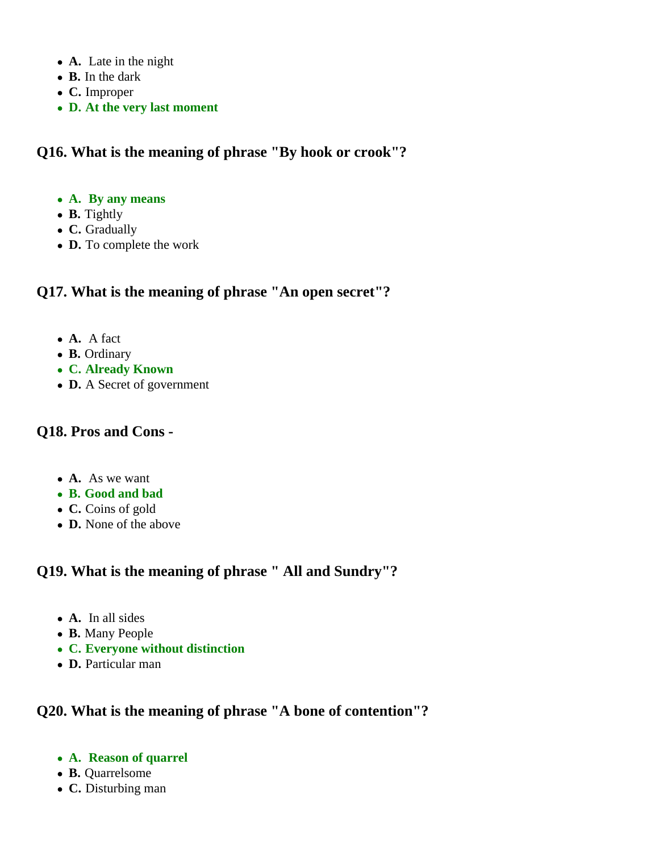- **A.** Late in the night
- **B.** In the dark
- **C.** Improper
- **D. At the very last moment**

# **Q16. What is the meaning of phrase "By hook or crook"?**

- **A. By any means**
- **B.** Tightly
- **C.** Gradually
- **D.** To complete the work

# **Q17. What is the meaning of phrase "An open secret"?**

- **A.** A fact
- **B.** Ordinary
- **C. Already Known**
- **D.** A Secret of government

#### **Q18. Pros and Cons -**

- **A.** As we want
- **B. Good and bad**
- **C.** Coins of gold
- **D.** None of the above

# **Q19. What is the meaning of phrase " All and Sundry"?**

- **A.** In all sides
- **B.** Many People
- **C. Everyone without distinction**
- **D.** Particular man

# **Q20. What is the meaning of phrase "A bone of contention"?**

- **A. Reason of quarrel**
- **B.** Quarrelsome
- **C.** Disturbing man